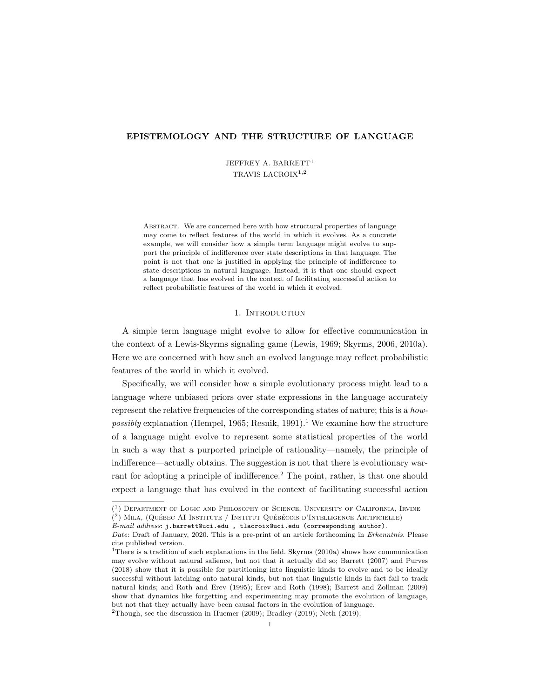# EPISTEMOLOGY AND THE STRUCTURE OF LANGUAGE

## $JEFFREF$  A. BARRETT<sup>1</sup> TRAVIS LACROIX<sup>1,2</sup>

ABSTRACT. We are concerned here with how structural properties of language may come to reflect features of the world in which it evolves. As a concrete example, we will consider how a simple term language might evolve to support the principle of indifference over state descriptions in that language. The point is not that one is justified in applying the principle of indifference to state descriptions in natural language. Instead, it is that one should expect a language that has evolved in the context of facilitating successful action to reflect probabilistic features of the world in which it evolved.

### 1. INTRODUCTION

A simple term language might evolve to allow for effective communication in the context of a Lewis-Skyrms signaling game (Lewis, 1969; Skyrms, 2006, 2010a). Here we are concerned with how such an evolved language may reflect probabilistic features of the world in which it evolved.

Specifically, we will consider how a simple evolutionary process might lead to a language where unbiased priors over state expressions in the language accurately represent the relative frequencies of the corresponding states of nature; this is a how*possibly* explanation (Hempel, 1965; Resnik, 1991).<sup>1</sup> We examine how the structure of a language might evolve to represent some statistical properties of the world in such a way that a purported principle of rationality—namely, the principle of indifference—actually obtains. The suggestion is not that there is evolutionary warrant for adopting a principle of indifference.<sup>2</sup> The point, rather, is that one should expect a language that has evolved in the context of facilitating successful action

<sup>(</sup> 1 ) Department of Logic and Philosophy of Science, University of California, Irvine

 $(2)$  Mila, (QUÉBEC AI INSTITUTE / INSTITUT QUÉBÉCOIS D'INTELLIGENCE ARTIFICIELLE)

E-mail address: j.barrett@uci.edu , tlacroix@uci.edu (corresponding author).

Date: Draft of January, 2020. This is a pre-print of an article forthcoming in Erkenntnis. Please cite published version.

<sup>1</sup>There is a tradition of such explanations in the field. Skyrms (2010a) shows how communication may evolve without natural salience, but not that it actually did so; Barrett (2007) and Purves (2018) show that it is possible for partitioning into linguistic kinds to evolve and to be ideally successful without latching onto natural kinds, but not that linguistic kinds in fact fail to track natural kinds; and Roth and Erev (1995); Erev and Roth (1998); Barrett and Zollman (2009) show that dynamics like forgetting and experimenting may promote the evolution of language, but not that they actually have been causal factors in the evolution of language.

<sup>&</sup>lt;sup>2</sup>Though, see the discussion in Huemer (2009); Bradley (2019); Neth (2019).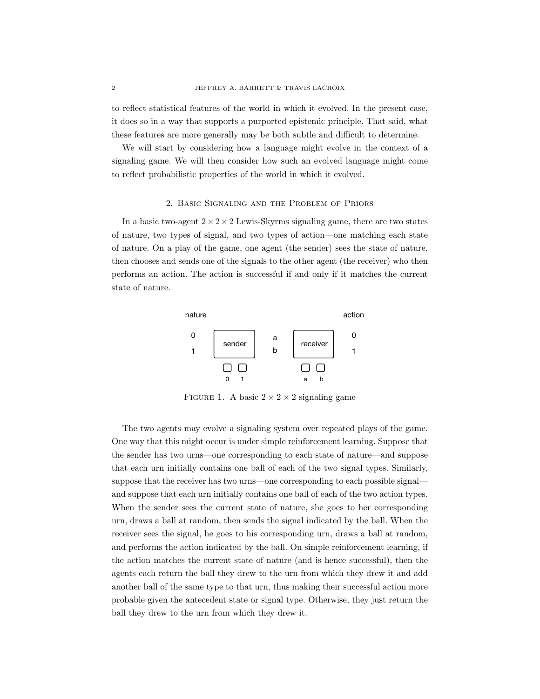to reflect statistical features of the world in which it evolved. In the present case, it does so in a way that supports a purported epistemic principle. That said, what these features are more generally may be both subtle and difficult to determine.

We will start by considering how a language might evolve in the context of a signaling game. We will then consider how such an evolved language might come to reflect probabilistic properties of the world in which it evolved.

### 2. Basic Signaling and the Problem of Priors

In a basic two-agent  $2 \times 2 \times 2$  Lewis-Skyrms signaling game, there are two states of nature, two types of signal, and two types of action—one matching each state of nature. On a play of the game, one agent (the sender) sees the state of nature, then chooses and sends one of the signals to the other agent (the receiver) who then performs an action. The action is successful if and only if it matches the current state of nature.



FIGURE 1. A basic  $2 \times 2 \times 2$  signaling game

The two agents may evolve a signaling system over repeated plays of the game. One way that this might occur is under simple reinforcement learning. Suppose that the sender has two urns—one corresponding to each state of nature—and suppose that each urn initially contains one ball of each of the two signal types. Similarly, suppose that the receiver has two urns—one corresponding to each possible signal and suppose that each urn initially contains one ball of each of the two action types. When the sender sees the current state of nature, she goes to her corresponding urn, draws a ball at random, then sends the signal indicated by the ball. When the receiver sees the signal, he goes to his corresponding urn, draws a ball at random, and performs the action indicated by the ball. On simple reinforcement learning, if the action matches the current state of nature (and is hence successful), then the agents each return the ball they drew to the urn from which they drew it and add another ball of the same type to that urn, thus making their successful action more probable given the antecedent state or signal type. Otherwise, they just return the ball they drew to the urn from which they drew it.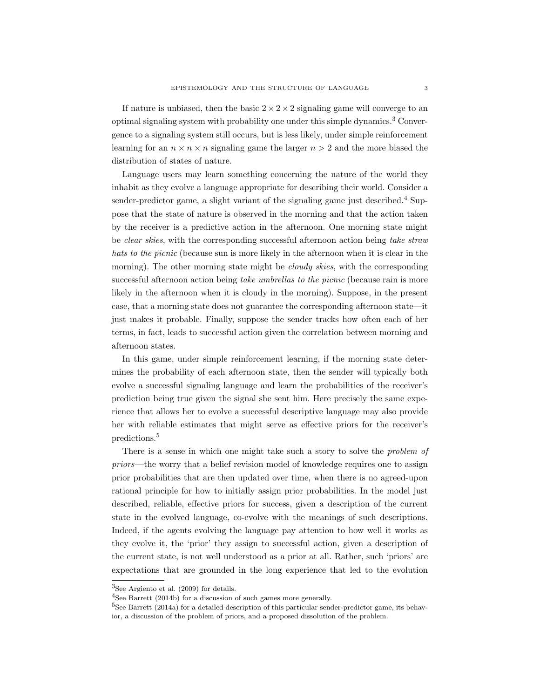If nature is unbiased, then the basic  $2 \times 2 \times 2$  signaling game will converge to an optimal signaling system with probability one under this simple dynamics.<sup>3</sup> Convergence to a signaling system still occurs, but is less likely, under simple reinforcement learning for an  $n \times n \times n$  signaling game the larger  $n > 2$  and the more biased the distribution of states of nature.

Language users may learn something concerning the nature of the world they inhabit as they evolve a language appropriate for describing their world. Consider a sender-predictor game, a slight variant of the signaling game just described.<sup>4</sup> Suppose that the state of nature is observed in the morning and that the action taken by the receiver is a predictive action in the afternoon. One morning state might be clear skies, with the corresponding successful afternoon action being take straw hats to the picnic (because sun is more likely in the afternoon when it is clear in the morning). The other morning state might be *cloudy skies*, with the corresponding successful afternoon action being take umbrellas to the picnic (because rain is more likely in the afternoon when it is cloudy in the morning). Suppose, in the present case, that a morning state does not guarantee the corresponding afternoon state—it just makes it probable. Finally, suppose the sender tracks how often each of her terms, in fact, leads to successful action given the correlation between morning and afternoon states.

In this game, under simple reinforcement learning, if the morning state determines the probability of each afternoon state, then the sender will typically both evolve a successful signaling language and learn the probabilities of the receiver's prediction being true given the signal she sent him. Here precisely the same experience that allows her to evolve a successful descriptive language may also provide her with reliable estimates that might serve as effective priors for the receiver's predictions.<sup>5</sup>

There is a sense in which one might take such a story to solve the *problem of* priors—the worry that a belief revision model of knowledge requires one to assign prior probabilities that are then updated over time, when there is no agreed-upon rational principle for how to initially assign prior probabilities. In the model just described, reliable, effective priors for success, given a description of the current state in the evolved language, co-evolve with the meanings of such descriptions. Indeed, if the agents evolving the language pay attention to how well it works as they evolve it, the 'prior' they assign to successful action, given a description of the current state, is not well understood as a prior at all. Rather, such 'priors' are expectations that are grounded in the long experience that led to the evolution

<sup>3</sup>See Argiento et al. (2009) for details.

<sup>4</sup>See Barrett (2014b) for a discussion of such games more generally.

<sup>&</sup>lt;sup>5</sup>See Barrett (2014a) for a detailed description of this particular sender-predictor game, its behavior, a discussion of the problem of priors, and a proposed dissolution of the problem.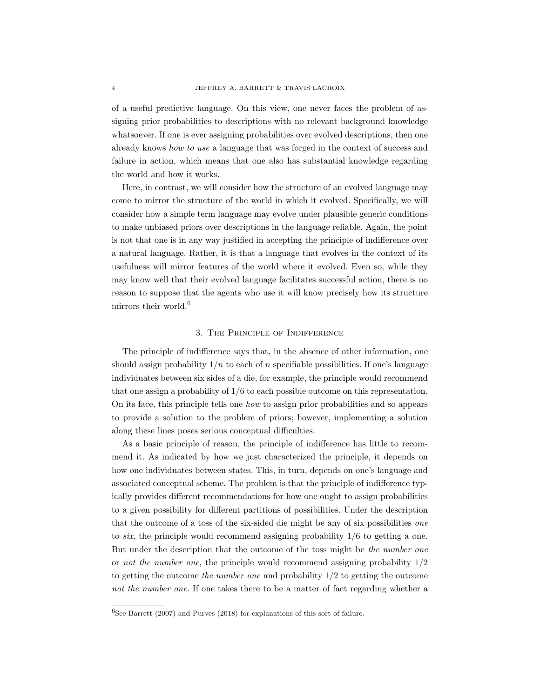of a useful predictive language. On this view, one never faces the problem of assigning prior probabilities to descriptions with no relevant background knowledge whatsoever. If one is ever assigning probabilities over evolved descriptions, then one already knows how to use a language that was forged in the context of success and failure in action, which means that one also has substantial knowledge regarding the world and how it works.

Here, in contrast, we will consider how the structure of an evolved language may come to mirror the structure of the world in which it evolved. Specifically, we will consider how a simple term language may evolve under plausible generic conditions to make unbiased priors over descriptions in the language reliable. Again, the point is not that one is in any way justified in accepting the principle of indifference over a natural language. Rather, it is that a language that evolves in the context of its usefulness will mirror features of the world where it evolved. Even so, while they may know well that their evolved language facilitates successful action, there is no reason to suppose that the agents who use it will know precisely how its structure mirrors their world.<sup>6</sup>

#### 3. The Principle of Indifference

The principle of indifference says that, in the absence of other information, one should assign probability  $1/n$  to each of n specifiable possibilities. If one's language individuates between six sides of a die, for example, the principle would recommend that one assign a probability of 1/6 to each possible outcome on this representation. On its face, this principle tells one how to assign prior probabilities and so appears to provide a solution to the problem of priors; however, implementing a solution along these lines poses serious conceptual difficulties.

As a basic principle of reason, the principle of indifference has little to recommend it. As indicated by how we just characterized the principle, it depends on how one individuates between states. This, in turn, depends on one's language and associated conceptual scheme. The problem is that the principle of indifference typically provides different recommendations for how one ought to assign probabilities to a given possibility for different partitions of possibilities. Under the description that the outcome of a toss of the six-sided die might be any of six possibilities one to six, the principle would recommend assigning probability 1/6 to getting a one. But under the description that the outcome of the toss might be the number one or not the number one, the principle would recommend assigning probability  $1/2$ to getting the outcome the number one and probability  $1/2$  to getting the outcome not the number one. If one takes there to be a matter of fact regarding whether a

 $6$ See Barrett (2007) and Purves (2018) for explanations of this sort of failure.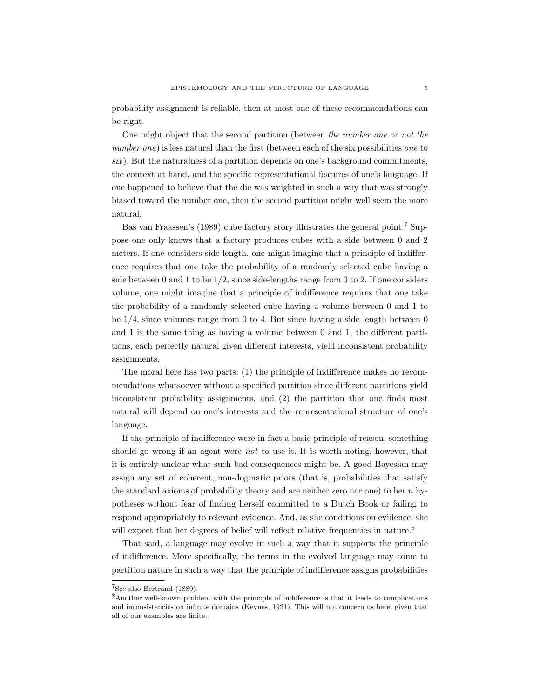probability assignment is reliable, then at most one of these recommendations can be right.

One might object that the second partition (between the number one or not the number one) is less natural than the first (between each of the six possibilities one to  $six$ ). But the naturalness of a partition depends on one's background commitments, the context at hand, and the specific representational features of one's language. If one happened to believe that the die was weighted in such a way that was strongly biased toward the number one, then the second partition might well seem the more natural.

Bas van Fraassen's (1989) cube factory story illustrates the general point.<sup>7</sup> Suppose one only knows that a factory produces cubes with a side between 0 and 2 meters. If one considers side-length, one might imagine that a principle of indifference requires that one take the probability of a randomly selected cube having a side between 0 and 1 to be  $1/2$ , since side-lengths range from 0 to 2. If one considers volume, one might imagine that a principle of indifference requires that one take the probability of a randomly selected cube having a volume between 0 and 1 to be 1/4, since volumes range from 0 to 4. But since having a side length between 0 and 1 is the same thing as having a volume between 0 and 1, the different partitions, each perfectly natural given different interests, yield inconsistent probability assignments.

The moral here has two parts: (1) the principle of indifference makes no recommendations whatsoever without a specified partition since different partitions yield inconsistent probability assignments, and (2) the partition that one finds most natural will depend on one's interests and the representational structure of one's language.

If the principle of indifference were in fact a basic principle of reason, something should go wrong if an agent were not to use it. It is worth noting, however, that it is entirely unclear what such bad consequences might be. A good Bayesian may assign any set of coherent, non-dogmatic priors (that is, probabilities that satisfy the standard axioms of probability theory and are neither zero nor one) to her n hypotheses without fear of finding herself committed to a Dutch Book or failing to respond appropriately to relevant evidence. And, as she conditions on evidence, she will expect that her degrees of belief will reflect relative frequencies in nature.<sup>8</sup>

That said, a language may evolve in such a way that it supports the principle of indifference. More specifically, the terms in the evolved language may come to partition nature in such a way that the principle of indifference assigns probabilities

<sup>7</sup>See also Bertrand (1889).

<sup>8</sup>Another well-known problem with the principle of indifference is that it leads to complications and inconsistencies on infinite domains (Keynes, 1921). This will not concern us here, given that all of our examples are finite.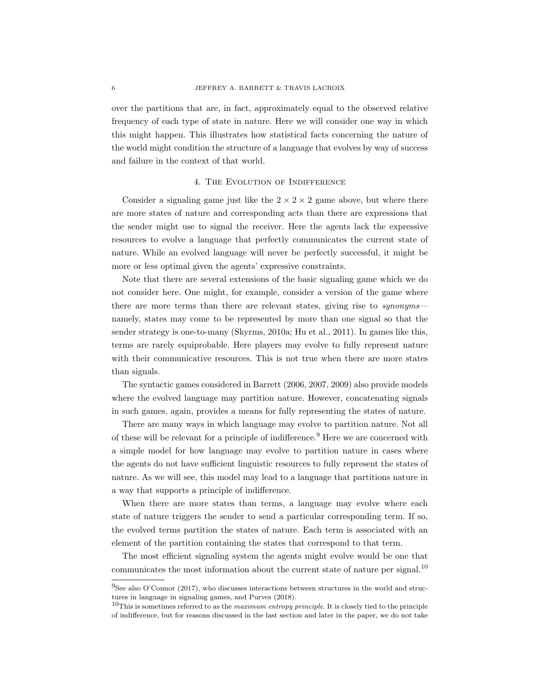over the partitions that are, in fact, approximately equal to the observed relative frequency of each type of state in nature. Here we will consider one way in which this might happen. This illustrates how statistical facts concerning the nature of the world might condition the structure of a language that evolves by way of success and failure in the context of that world.

## 4. The Evolution of Indifference

Consider a signaling game just like the  $2 \times 2 \times 2$  game above, but where there are more states of nature and corresponding acts than there are expressions that the sender might use to signal the receiver. Here the agents lack the expressive resources to evolve a language that perfectly communicates the current state of nature. While an evolved language will never be perfectly successful, it might be more or less optimal given the agents' expressive constraints.

Note that there are several extensions of the basic signaling game which we do not consider here. One might, for example, consider a version of the game where there are more terms than there are relevant states, giving rise to *synonyms* namely, states may come to be represented by more than one signal so that the sender strategy is one-to-many (Skyrms, 2010a; Hu et al., 2011). In games like this, terms are rarely equiprobable. Here players may evolve to fully represent nature with their communicative resources. This is not true when there are more states than signals.

The syntactic games considered in Barrett (2006, 2007, 2009) also provide models where the evolved language may partition nature. However, concatenating signals in such games, again, provides a means for fully representing the states of nature.

There are many ways in which language may evolve to partition nature. Not all of these will be relevant for a principle of indifference.<sup>9</sup> Here we are concerned with a simple model for how language may evolve to partition nature in cases where the agents do not have sufficient linguistic resources to fully represent the states of nature. As we will see, this model may lead to a language that partitions nature in a way that supports a principle of indifference.

When there are more states than terms, a language may evolve where each state of nature triggers the sender to send a particular corresponding term. If so, the evolved terms partition the states of nature. Each term is associated with an element of the partition containing the states that correspond to that term.

The most efficient signaling system the agents might evolve would be one that communicates the most information about the current state of nature per signal.<sup>10</sup>

 $9$ See also O'Connor (2017), who discusses interactions between structures in the world and structures in language in signaling games, and Purves (2018).

 $10$ This is sometimes referred to as the maximum entropy principle. It is closely tied to the principle of indifference, but for reasons discussed in the last section and later in the paper, we do not take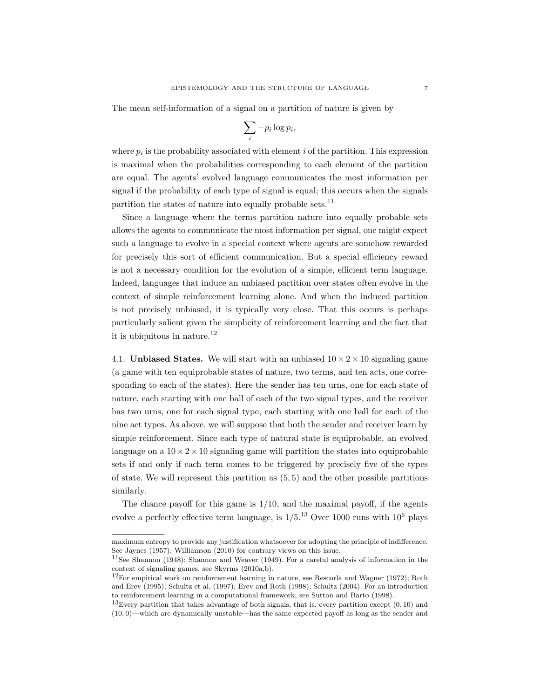The mean self-information of a signal on a partition of nature is given by

$$
\sum_i -p_i \log p_i,
$$

where  $p_i$  is the probability associated with element i of the partition. This expression is maximal when the probabilities corresponding to each element of the partition are equal. The agents' evolved language communicates the most information per signal if the probability of each type of signal is equal; this occurs when the signals partition the states of nature into equally probable sets.<sup>11</sup>

Since a language where the terms partition nature into equally probable sets allows the agents to communicate the most information per signal, one might expect such a language to evolve in a special context where agents are somehow rewarded for precisely this sort of efficient communication. But a special efficiency reward is not a necessary condition for the evolution of a simple, efficient term language. Indeed, languages that induce an unbiased partition over states often evolve in the context of simple reinforcement learning alone. And when the induced partition is not precisely unbiased, it is typically very close. That this occurs is perhaps particularly salient given the simplicity of reinforcement learning and the fact that it is ubiquitous in nature.<sup>12</sup>

4.1. Unbiased States. We will start with an unbiased  $10 \times 2 \times 10$  signaling game (a game with ten equiprobable states of nature, two terms, and ten acts, one corresponding to each of the states). Here the sender has ten urns, one for each state of nature, each starting with one ball of each of the two signal types, and the receiver has two urns, one for each signal type, each starting with one ball for each of the nine act types. As above, we will suppose that both the sender and receiver learn by simple reinforcement. Since each type of natural state is equiprobable, an evolved language on a  $10 \times 2 \times 10$  signaling game will partition the states into equiprobable sets if and only if each term comes to be triggered by precisely five of the types of state. We will represent this partition as  $(5, 5)$  and the other possible partitions similarly.

The chance payoff for this game is  $1/10$ , and the maximal payoff, if the agents evolve a perfectly effective term language, is  $1/5^{13}$  Over 1000 runs with  $10^6$  plays

maximum entropy to provide any justification whatsoever for adopting the principle of indifference. See Jaynes (1957); Williamson (2010) for contrary views on this issue.

<sup>11</sup>See Shannon (1948); Shannon and Weaver (1949). For a careful analysis of information in the context of signaling games, see Skyrms (2010a,b).

<sup>12</sup>For empirical work on reinforcement learning in nature, see Rescorla and Wagner (1972); Roth and Erev (1995); Schultz et al. (1997); Erev and Roth (1998); Schultz (2004). For an introduction to reinforcement learning in a computational framework, see Sutton and Barto (1998).

 $13$ Every partition that takes advantage of both signals, that is, every partition except  $(0, 10)$  and (10, 0)—which are dynamically unstable—has the same expected payoff as long as the sender and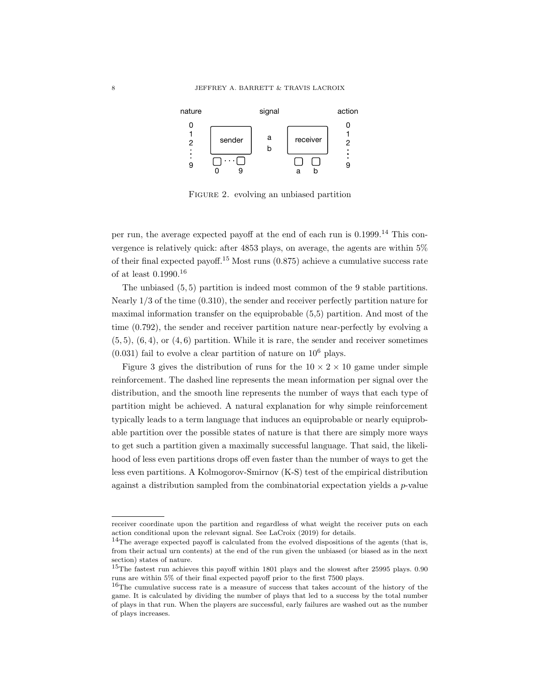

Figure 2. evolving an unbiased partition

per run, the average expected payoff at the end of each run is  $0.1999$ .<sup>14</sup> This convergence is relatively quick: after 4853 plays, on average, the agents are within 5% of their final expected payoff.<sup>15</sup> Most runs  $(0.875)$  achieve a cumulative success rate of at least 0.1990.<sup>16</sup>

The unbiased (5, 5) partition is indeed most common of the 9 stable partitions. Nearly 1/3 of the time (0.310), the sender and receiver perfectly partition nature for maximal information transfer on the equiprobable (5,5) partition. And most of the time (0.792), the sender and receiver partition nature near-perfectly by evolving a  $(5, 5)$ ,  $(6, 4)$ , or  $(4, 6)$  partition. While it is rare, the sender and receiver sometimes  $(0.031)$  fail to evolve a clear partition of nature on  $10^6$  plays.

Figure 3 gives the distribution of runs for the  $10 \times 2 \times 10$  game under simple reinforcement. The dashed line represents the mean information per signal over the distribution, and the smooth line represents the number of ways that each type of partition might be achieved. A natural explanation for why simple reinforcement typically leads to a term language that induces an equiprobable or nearly equiprobable partition over the possible states of nature is that there are simply more ways to get such a partition given a maximally successful language. That said, the likelihood of less even partitions drops off even faster than the number of ways to get the less even partitions. A Kolmogorov-Smirnov (K-S) test of the empirical distribution against a distribution sampled from the combinatorial expectation yields a p-value

receiver coordinate upon the partition and regardless of what weight the receiver puts on each action conditional upon the relevant signal. See LaCroix (2019) for details.

<sup>14</sup>The average expected payoff is calculated from the evolved dispositions of the agents (that is, from their actual urn contents) at the end of the run given the unbiased (or biased as in the next section) states of nature.

<sup>&</sup>lt;sup>15</sup>The fastest run achieves this payoff within 1801 plays and the slowest after 25995 plays. 0.90 runs are within 5% of their final expected payoff prior to the first 7500 plays.

<sup>&</sup>lt;sup>16</sup>The cumulative success rate is a measure of success that takes account of the history of the game. It is calculated by dividing the number of plays that led to a success by the total number of plays in that run. When the players are successful, early failures are washed out as the number of plays increases.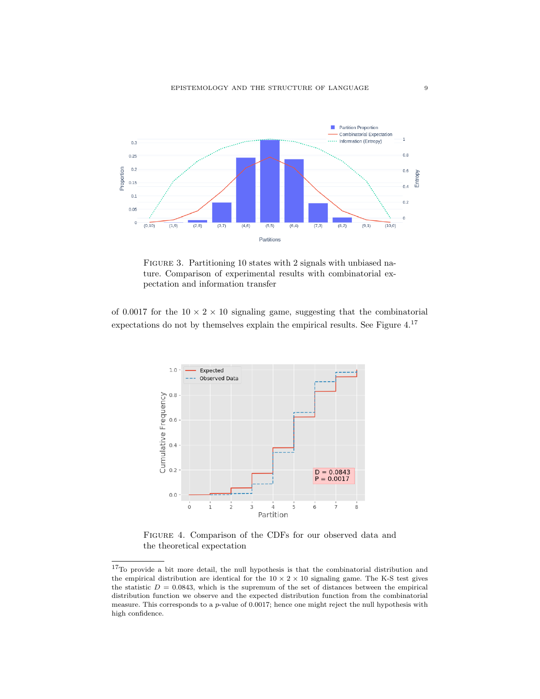

FIGURE 3. Partitioning 10 states with 2 signals with unbiased nature. Comparison of experimental results with combinatorial expectation and information transfer

of 0.0017 for the  $10 \times 2 \times 10$  signaling game, suggesting that the combinatorial expectations do not by themselves explain the empirical results. See Figure  $4.17$ 



Figure 4. Comparison of the CDFs for our observed data and the theoretical expectation

<sup>&</sup>lt;sup>17</sup>To provide a bit more detail, the null hypothesis is that the combinatorial distribution and the empirical distribution are identical for the  $10 \times 2 \times 10$  signaling game. The K-S test gives the statistic  $D = 0.0843$ , which is the supremum of the set of distances between the empirical distribution function we observe and the expected distribution function from the combinatorial measure. This corresponds to a p-value of 0.0017; hence one might reject the null hypothesis with high confidence.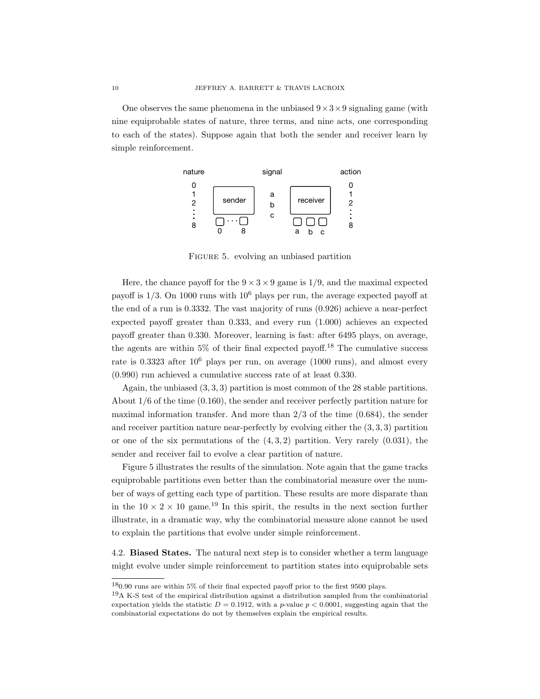One observes the same phenomena in the unbiased  $9 \times 3 \times 9$  signaling game (with nine equiprobable states of nature, three terms, and nine acts, one corresponding to each of the states). Suppose again that both the sender and receiver learn by simple reinforcement.



Figure 5. evolving an unbiased partition

Here, the chance payoff for the  $9 \times 3 \times 9$  game is 1/9, and the maximal expected payoff is  $1/3$ . On 1000 runs with  $10^6$  plays per run, the average expected payoff at the end of a run is 0.3332. The vast majority of runs (0.926) achieve a near-perfect expected payoff greater than 0.333, and every run (1.000) achieves an expected payoff greater than 0.330. Moreover, learning is fast: after 6495 plays, on average, the agents are within  $5\%$  of their final expected payoff.<sup>18</sup> The cumulative success rate is  $0.3323$  after  $10^6$  plays per run, on average (1000 runs), and almost every (0.990) run achieved a cumulative success rate of at least 0.330.

Again, the unbiased (3, 3, 3) partition is most common of the 28 stable partitions. About 1/6 of the time (0.160), the sender and receiver perfectly partition nature for maximal information transfer. And more than  $2/3$  of the time  $(0.684)$ , the sender and receiver partition nature near-perfectly by evolving either the  $(3, 3, 3)$  partition or one of the six permutations of the  $(4, 3, 2)$  partition. Very rarely  $(0.031)$ , the sender and receiver fail to evolve a clear partition of nature.

Figure 5 illustrates the results of the simulation. Note again that the game tracks equiprobable partitions even better than the combinatorial measure over the number of ways of getting each type of partition. These results are more disparate than in the  $10 \times 2 \times 10$  game.<sup>19</sup> In this spirit, the results in the next section further illustrate, in a dramatic way, why the combinatorial measure alone cannot be used to explain the partitions that evolve under simple reinforcement.

4.2. Biased States. The natural next step is to consider whether a term language might evolve under simple reinforcement to partition states into equiprobable sets

 $^{18}0.90$  runs are within  $5\%$  of their final expected payoff prior to the first 9500 plays.

<sup>19</sup>A K-S test of the empirical distribution against a distribution sampled from the combinatorial expectation yields the statistic  $D = 0.1912$ , with a p-value  $p < 0.0001$ , suggesting again that the combinatorial expectations do not by themselves explain the empirical results.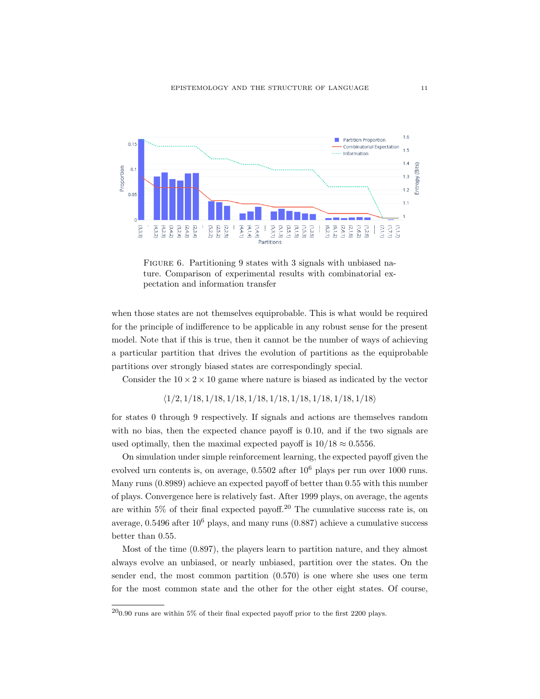

FIGURE 6. Partitioning 9 states with 3 signals with unbiased nature. Comparison of experimental results with combinatorial expectation and information transfer

when those states are not themselves equiprobable. This is what would be required for the principle of indifference to be applicable in any robust sense for the present model. Note that if this is true, then it cannot be the number of ways of achieving a particular partition that drives the evolution of partitions as the equiprobable partitions over strongly biased states are correspondingly special.

Consider the  $10 \times 2 \times 10$  game where nature is biased as indicated by the vector

 $\langle 1/2, 1/18, 1/18, 1/18, 1/18, 1/18, 1/18, 1/18, 1/18, 1/18 \rangle$ 

for states 0 through 9 respectively. If signals and actions are themselves random with no bias, then the expected chance payoff is 0.10, and if the two signals are used optimally, then the maximal expected payoff is  $10/18 \approx 0.5556$ .

On simulation under simple reinforcement learning, the expected payoff given the evolved urn contents is, on average, 0.5502 after 10<sup>6</sup> plays per run over 1000 runs. Many runs (0.8989) achieve an expected payoff of better than 0.55 with this number of plays. Convergence here is relatively fast. After 1999 plays, on average, the agents are within 5% of their final expected payoff.<sup>20</sup> The cumulative success rate is, on average,  $0.5496$  after  $10^6$  plays, and many runs  $(0.887)$  achieve a cumulative success better than 0.55.

Most of the time (0.897), the players learn to partition nature, and they almost always evolve an unbiased, or nearly unbiased, partition over the states. On the sender end, the most common partition (0.570) is one where she uses one term for the most common state and the other for the other eight states. Of course,

 $^{20}$ 0.90 runs are within 5% of their final expected payoff prior to the first 2200 plays.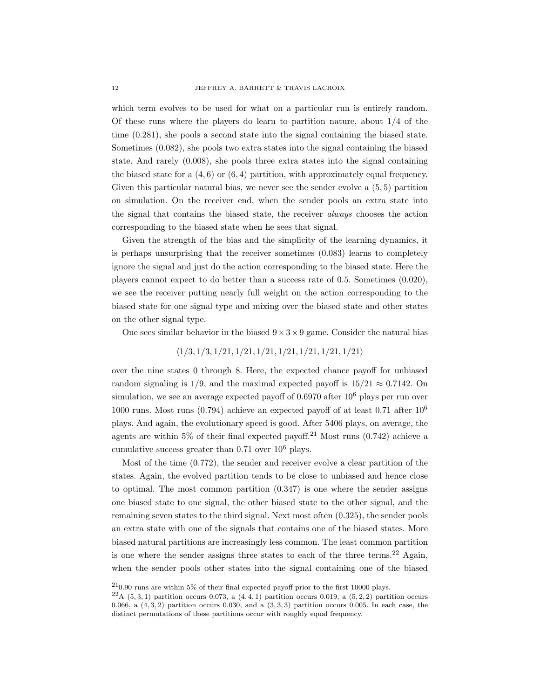which term evolves to be used for what on a particular run is entirely random. Of these runs where the players do learn to partition nature, about  $1/4$  of the time (0.281), she pools a second state into the signal containing the biased state. Sometimes (0.082), she pools two extra states into the signal containing the biased state. And rarely (0.008), she pools three extra states into the signal containing the biased state for a  $(4, 6)$  or  $(6, 4)$  partition, with approximately equal frequency. Given this particular natural bias, we never see the sender evolve a (5, 5) partition on simulation. On the receiver end, when the sender pools an extra state into the signal that contains the biased state, the receiver always chooses the action corresponding to the biased state when he sees that signal.

Given the strength of the bias and the simplicity of the learning dynamics, it is perhaps unsurprising that the receiver sometimes (0.083) learns to completely ignore the signal and just do the action corresponding to the biased state. Here the players cannot expect to do better than a success rate of 0.5. Sometimes (0.020), we see the receiver putting nearly full weight on the action corresponding to the biased state for one signal type and mixing over the biased state and other states on the other signal type.

One sees similar behavior in the biased  $9 \times 3 \times 9$  game. Consider the natural bias

$$
\langle 1/3, 1/3, 1/21, 1/21, 1/21, 1/21, 1/21, 1/21, 1/21 \rangle
$$

over the nine states 0 through 8. Here, the expected chance payoff for unbiased random signaling is 1/9, and the maximal expected payoff is  $15/21 \approx 0.7142$ . On simulation, we see an average expected payoff of  $0.6970$  after  $10<sup>6</sup>$  plays per run over 1000 runs. Most runs  $(0.794)$  achieve an expected payoff of at least 0.71 after 10<sup>6</sup> plays. And again, the evolutionary speed is good. After 5406 plays, on average, the agents are within 5% of their final expected payoff.<sup>21</sup> Most runs  $(0.742)$  achieve a cumulative success greater than  $0.71$  over  $10^6$  plays.

Most of the time (0.772), the sender and receiver evolve a clear partition of the states. Again, the evolved partition tends to be close to unbiased and hence close to optimal. The most common partition (0.347) is one where the sender assigns one biased state to one signal, the other biased state to the other signal, and the remaining seven states to the third signal. Next most often (0.325), the sender pools an extra state with one of the signals that contains one of the biased states. More biased natural partitions are increasingly less common. The least common partition is one where the sender assigns three states to each of the three terms.<sup>22</sup> Again, when the sender pools other states into the signal containing one of the biased

 $^{21}0.90$  runs are within 5% of their final expected payoff prior to the first 10000 plays.

 $^{22}$ A (5, 3, 1) partition occurs 0.073, a (4, 4, 1) partition occurs 0.019, a (5, 2, 2) partition occurs 0.066, a  $(4,3,2)$  partition occurs 0.030, and a  $(3,3,3)$  partition occurs 0.005. In each case, the distinct permutations of these partitions occur with roughly equal frequency.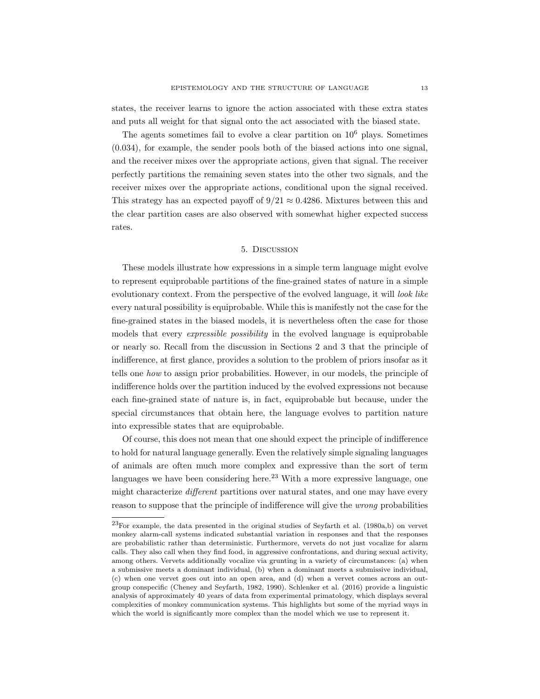states, the receiver learns to ignore the action associated with these extra states and puts all weight for that signal onto the act associated with the biased state.

The agents sometimes fail to evolve a clear partition on  $10^6$  plays. Sometimes (0.034), for example, the sender pools both of the biased actions into one signal, and the receiver mixes over the appropriate actions, given that signal. The receiver perfectly partitions the remaining seven states into the other two signals, and the receiver mixes over the appropriate actions, conditional upon the signal received. This strategy has an expected payoff of  $9/21 \approx 0.4286$ . Mixtures between this and the clear partition cases are also observed with somewhat higher expected success rates.

### 5. Discussion

These models illustrate how expressions in a simple term language might evolve to represent equiprobable partitions of the fine-grained states of nature in a simple evolutionary context. From the perspective of the evolved language, it will *look like* every natural possibility is equiprobable. While this is manifestly not the case for the fine-grained states in the biased models, it is nevertheless often the case for those models that every expressible possibility in the evolved language is equiprobable or nearly so. Recall from the discussion in Sections 2 and 3 that the principle of indifference, at first glance, provides a solution to the problem of priors insofar as it tells one how to assign prior probabilities. However, in our models, the principle of indifference holds over the partition induced by the evolved expressions not because each fine-grained state of nature is, in fact, equiprobable but because, under the special circumstances that obtain here, the language evolves to partition nature into expressible states that are equiprobable.

Of course, this does not mean that one should expect the principle of indifference to hold for natural language generally. Even the relatively simple signaling languages of animals are often much more complex and expressive than the sort of term languages we have been considering here.<sup>23</sup> With a more expressive language, one might characterize different partitions over natural states, and one may have every reason to suppose that the principle of indifference will give the wrong probabilities

<sup>23</sup>For example, the data presented in the original studies of Seyfarth et al. (1980a,b) on vervet monkey alarm-call systems indicated substantial variation in responses and that the responses are probabilistic rather than deterministic. Furthermore, vervets do not just vocalize for alarm calls. They also call when they find food, in aggressive confrontations, and during sexual activity, among others. Vervets additionally vocalize via grunting in a variety of circumstances: (a) when a submissive meets a dominant individual, (b) when a dominant meets a submissive individual, (c) when one vervet goes out into an open area, and (d) when a vervet comes across an outgroup conspecific (Cheney and Seyfarth, 1982, 1990). Schlenker et al. (2016) provide a linguistic analysis of approximately 40 years of data from experimental primatology, which displays several complexities of monkey communication systems. This highlights but some of the myriad ways in which the world is significantly more complex than the model which we use to represent it.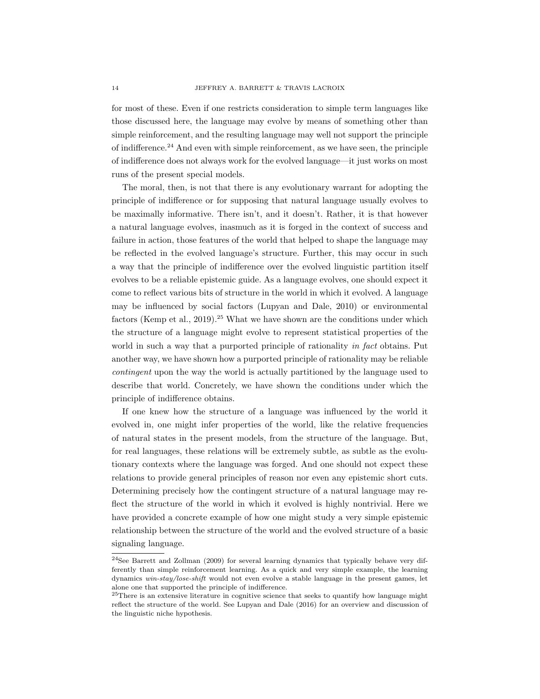for most of these. Even if one restricts consideration to simple term languages like those discussed here, the language may evolve by means of something other than simple reinforcement, and the resulting language may well not support the principle of indifference.<sup>24</sup> And even with simple reinforcement, as we have seen, the principle of indifference does not always work for the evolved language—it just works on most runs of the present special models.

The moral, then, is not that there is any evolutionary warrant for adopting the principle of indifference or for supposing that natural language usually evolves to be maximally informative. There isn't, and it doesn't. Rather, it is that however a natural language evolves, inasmuch as it is forged in the context of success and failure in action, those features of the world that helped to shape the language may be reflected in the evolved language's structure. Further, this may occur in such a way that the principle of indifference over the evolved linguistic partition itself evolves to be a reliable epistemic guide. As a language evolves, one should expect it come to reflect various bits of structure in the world in which it evolved. A language may be influenced by social factors (Lupyan and Dale, 2010) or environmental factors (Kemp et al., 2019).<sup>25</sup> What we have shown are the conditions under which the structure of a language might evolve to represent statistical properties of the world in such a way that a purported principle of rationality in fact obtains. Put another way, we have shown how a purported principle of rationality may be reliable contingent upon the way the world is actually partitioned by the language used to describe that world. Concretely, we have shown the conditions under which the principle of indifference obtains.

If one knew how the structure of a language was influenced by the world it evolved in, one might infer properties of the world, like the relative frequencies of natural states in the present models, from the structure of the language. But, for real languages, these relations will be extremely subtle, as subtle as the evolutionary contexts where the language was forged. And one should not expect these relations to provide general principles of reason nor even any epistemic short cuts. Determining precisely how the contingent structure of a natural language may reflect the structure of the world in which it evolved is highly nontrivial. Here we have provided a concrete example of how one might study a very simple epistemic relationship between the structure of the world and the evolved structure of a basic signaling language.

<sup>&</sup>lt;sup>24</sup>See Barrett and Zollman (2009) for several learning dynamics that typically behave very differently than simple reinforcement learning. As a quick and very simple example, the learning dynamics win-stay/lose-shift would not even evolve a stable language in the present games, let alone one that supported the principle of indifference.

 $^{25}\rm{There}$  is an extensive literature in cognitive science that seeks to quantify how language might reflect the structure of the world. See Lupyan and Dale (2016) for an overview and discussion of the linguistic niche hypothesis.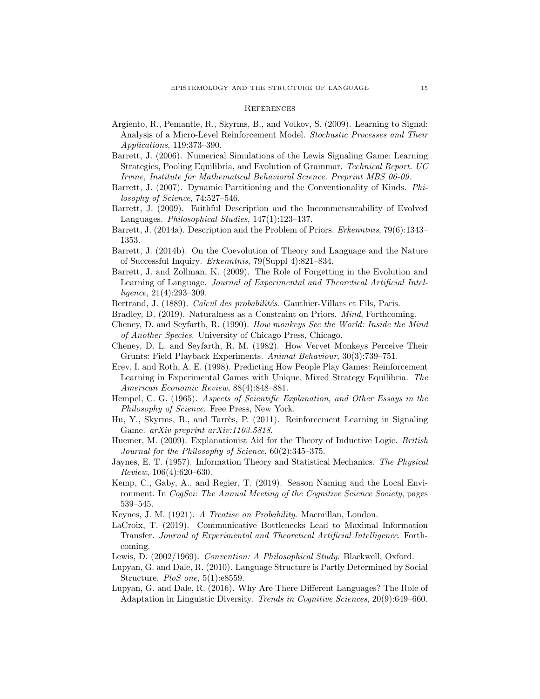#### **REFERENCES**

- Argiento, R., Pemantle, R., Skyrms, B., and Volkov, S. (2009). Learning to Signal: Analysis of a Micro-Level Reinforcement Model. Stochastic Processes and Their Applications, 119:373–390.
- Barrett, J. (2006). Numerical Simulations of the Lewis Signaling Game: Learning Strategies, Pooling Equilibria, and Evolution of Grammar. Technical Report. UC Irvine, Institute for Mathematical Behavioral Science. Preprint MBS 06-09.
- Barrett, J. (2007). Dynamic Partitioning and the Conventionality of Kinds. Philosophy of Science, 74:527–546.
- Barrett, J. (2009). Faithful Description and the Incommensurability of Evolved Languages. Philosophical Studies, 147(1):123–137.
- Barrett, J. (2014a). Description and the Problem of Priors. Erkenntnis, 79(6):1343– 1353.
- Barrett, J. (2014b). On the Coevolution of Theory and Language and the Nature of Successful Inquiry. Erkenntnis, 79(Suppl 4):821–834.
- Barrett, J. and Zollman, K. (2009). The Role of Forgetting in the Evolution and Learning of Language. Journal of Experimental and Theoretical Artificial Intelligence, 21(4):293–309.
- Bertrand, J. (1889). Calcul des probabilités. Gauthier-Villars et Fils, Paris.
- Bradley, D. (2019). Naturalness as a Constraint on Priors. Mind, Forthcoming.
- Cheney, D. and Seyfarth, R. (1990). How monkeys See the World: Inside the Mind of Another Species. University of Chicago Press, Chicago.
- Cheney, D. L. and Seyfarth, R. M. (1982). How Vervet Monkeys Perceive Their Grunts: Field Playback Experiments. Animal Behaviour, 30(3):739–751.
- Erev, I. and Roth, A. E. (1998). Predicting How People Play Games: Reinforcement Learning in Experimental Games with Unique, Mixed Strategy Equilibria. The American Economic Review, 88(4):848–881.
- Hempel, C. G. (1965). Aspects of Scientific Explanation, and Other Essays in the Philosophy of Science. Free Press, New York.
- Hu, Y., Skyrms, B., and Tarrès, P. (2011). Reinforcement Learning in Signaling Game. *arXiv preprint arXiv:1103.5818*.
- Huemer, M. (2009). Explanationist Aid for the Theory of Inductive Logic. British Journal for the Philosophy of Science, 60(2):345–375.
- Jaynes, E. T. (1957). Information Theory and Statistical Mechanics. The Physical Review, 106(4):620–630.
- Kemp, C., Gaby, A., and Regier, T. (2019). Season Naming and the Local Environment. In CogSci: The Annual Meeting of the Cognitive Science Society, pages 539–545.
- Keynes, J. M. (1921). A Treatise on Probability. Macmillan, London.
- LaCroix, T. (2019). Communicative Bottlenecks Lead to Maximal Information Transfer. Journal of Experimental and Theoretical Artificial Intelligence. Forthcoming.
- Lewis, D. (2002/1969). Convention: A Philosophical Study. Blackwell, Oxford.
- Lupyan, G. and Dale, R. (2010). Language Structure is Partly Determined by Social Structure. PloS one, 5(1):e8559.
- Lupyan, G. and Dale, R. (2016). Why Are There Different Languages? The Role of Adaptation in Linguistic Diversity. Trends in Cognitive Sciences, 20(9):649–660.